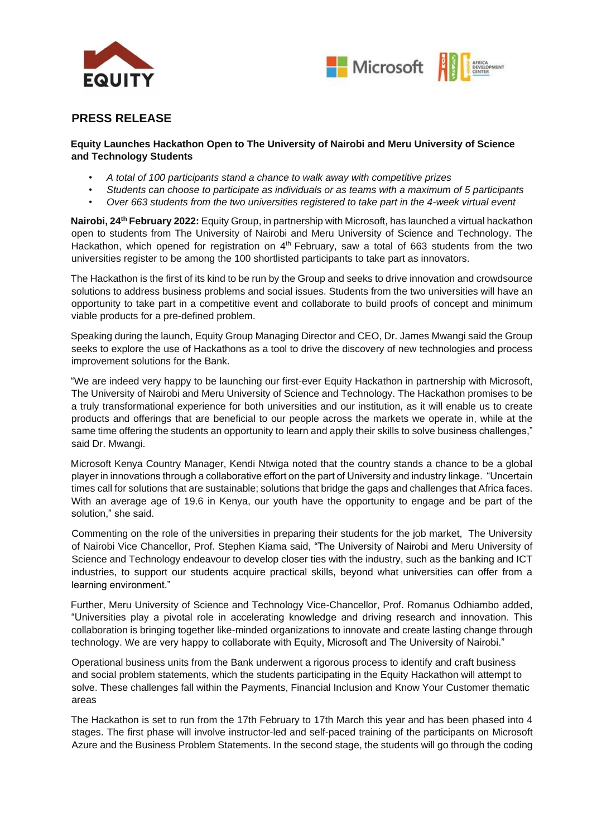



## **PRESS RELEASE**

## **Equity Launches Hackathon Open to The University of Nairobi and Meru University of Science and Technology Students**

- *A total of 100 participants stand a chance to walk away with competitive prizes*
- *Students can choose to participate as individuals or as teams with a maximum of 5 participants*
- *Over 663 students from the two universities registered to take part in the 4-week virtual event*

**Nairobi, 24th February 2022:** Equity Group, in partnership with Microsoft, has launched a virtual hackathon open to students from The University of Nairobi and Meru University of Science and Technology. The Hackathon, which opened for registration on 4<sup>th</sup> February, saw a total of 663 students from the two universities register to be among the 100 shortlisted participants to take part as innovators.

The Hackathon is the first of its kind to be run by the Group and seeks to drive innovation and crowdsource solutions to address business problems and social issues. Students from the two universities will have an opportunity to take part in a competitive event and collaborate to build proofs of concept and minimum viable products for a pre-defined problem.

Speaking during the launch, Equity Group Managing Director and CEO, Dr. James Mwangi said the Group seeks to explore the use of Hackathons as a tool to drive the discovery of new technologies and process improvement solutions for the Bank.

"We are indeed very happy to be launching our first-ever Equity Hackathon in partnership with Microsoft, The University of Nairobi and Meru University of Science and Technology. The Hackathon promises to be a truly transformational experience for both universities and our institution, as it will enable us to create products and offerings that are beneficial to our people across the markets we operate in, while at the same time offering the students an opportunity to learn and apply their skills to solve business challenges," said Dr. Mwangi.

Microsoft Kenya Country Manager, Kendi Ntwiga noted that the country stands a chance to be a global player in innovations through a collaborative effort on the part of University and industry linkage. "Uncertain times call for solutions that are sustainable; solutions that bridge the gaps and challenges that Africa faces. With an average age of 19.6 in Kenya, our youth have the opportunity to engage and be part of the solution," she said.

Commenting on the role of the universities in preparing their students for the job market, The University of Nairobi Vice Chancellor, Prof. Stephen Kiama said, "The University of Nairobi and Meru University of Science and Technology endeavour to develop closer ties with the industry, such as the banking and ICT industries, to support our students acquire practical skills, beyond what universities can offer from a learning environment."

Further, Meru University of Science and Technology Vice-Chancellor, Prof. Romanus Odhiambo added, "Universities play a pivotal role in accelerating knowledge and driving research and innovation. This collaboration is bringing together like-minded organizations to innovate and create lasting change through technology. We are very happy to collaborate with Equity, Microsoft and The University of Nairobi."

Operational business units from the Bank underwent a rigorous process to identify and craft business and social problem statements, which the students participating in the Equity Hackathon will attempt to solve. These challenges fall within the Payments, Financial Inclusion and Know Your Customer thematic areas

The Hackathon is set to run from the 17th February to 17th March this year and has been phased into 4 stages. The first phase will involve instructor-led and self-paced training of the participants on Microsoft Azure and the Business Problem Statements. In the second stage, the students will go through the coding